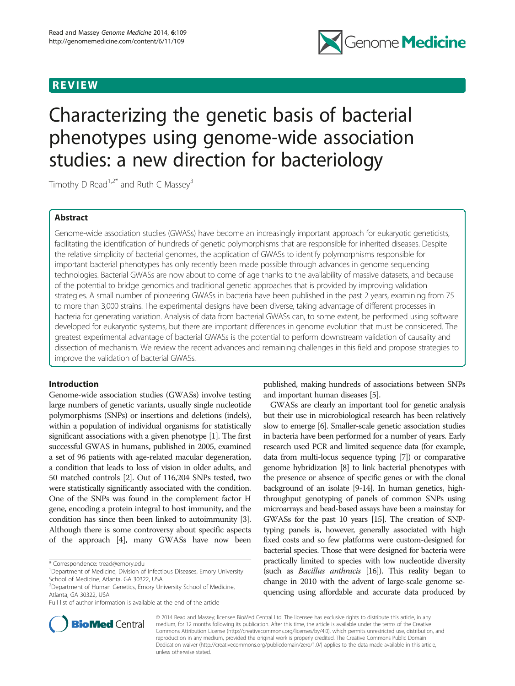## REVIEW



# Characterizing the genetic basis of bacterial phenotypes using genome-wide association studies: a new direction for bacteriology

Timothy D Read<sup>1,2\*</sup> and Ruth C Massey<sup>3</sup>

## Abstract

Genome-wide association studies (GWASs) have become an increasingly important approach for eukaryotic geneticists, facilitating the identification of hundreds of genetic polymorphisms that are responsible for inherited diseases. Despite the relative simplicity of bacterial genomes, the application of GWASs to identify polymorphisms responsible for important bacterial phenotypes has only recently been made possible through advances in genome sequencing technologies. Bacterial GWASs are now about to come of age thanks to the availability of massive datasets, and because of the potential to bridge genomics and traditional genetic approaches that is provided by improving validation strategies. A small number of pioneering GWASs in bacteria have been published in the past 2 years, examining from 75 to more than 3,000 strains. The experimental designs have been diverse, taking advantage of different processes in bacteria for generating variation. Analysis of data from bacterial GWASs can, to some extent, be performed using software developed for eukaryotic systems, but there are important differences in genome evolution that must be considered. The greatest experimental advantage of bacterial GWASs is the potential to perform downstream validation of causality and dissection of mechanism. We review the recent advances and remaining challenges in this field and propose strategies to improve the validation of bacterial GWASs.

## Introduction

Genome-wide association studies (GWASs) involve testing large numbers of genetic variants, usually single nucleotide polymorphisms (SNPs) or insertions and deletions (indels), within a population of individual organisms for statistically significant associations with a given phenotype [[1](#page-8-0)]. The first successful GWAS in humans, published in 2005, examined a set of 96 patients with age-related macular degeneration, a condition that leads to loss of vision in older adults, and 50 matched controls [\[2\]](#page-8-0). Out of 116,204 SNPs tested, two were statistically significantly associated with the condition. One of the SNPs was found in the complement factor H gene, encoding a protein integral to host immunity, and the condition has since then been linked to autoimmunity [[3](#page-8-0)]. Although there is some controversy about specific aspects of the approach [[4](#page-8-0)], many GWASs have now been

\* Correspondence: [tread@emory.edu](mailto:tread@emory.edu) <sup>1</sup>

published, making hundreds of associations between SNPs and important human diseases [[5](#page-8-0)].

GWASs are clearly an important tool for genetic analysis but their use in microbiological research has been relatively slow to emerge [\[6\]](#page-8-0). Smaller-scale genetic association studies in bacteria have been performed for a number of years. Early research used PCR and limited sequence data (for example, data from multi-locus sequence typing [[7](#page-8-0)]) or comparative genome hybridization [[8](#page-8-0)] to link bacterial phenotypes with the presence or absence of specific genes or with the clonal background of an isolate [\[9-14](#page-8-0)]. In human genetics, highthroughput genotyping of panels of common SNPs using microarrays and bead-based assays have been a mainstay for GWASs for the past 10 years [[15\]](#page-8-0). The creation of SNPtyping panels is, however, generally associated with high fixed costs and so few platforms were custom-designed for bacterial species. Those that were designed for bacteria were practically limited to species with low nucleotide diversity (such as Bacillus anthracis [\[16\]](#page-8-0)). This reality began to change in 2010 with the advent of large-scale genome sequencing using affordable and accurate data produced by



© 2014 Read and Massey; licensee BioMed Central Ltd. The licensee has exclusive rights to distribute this article, in any medium, for 12 months following its publication. After this time, the article is available under the terms of the Creative Commons Attribution License [\(http://creativecommons.org/licenses/by/4.0\)](http://creativecommons.org/licenses/by/4.0), which permits unrestricted use, distribution, and reproduction in any medium, provided the original work is properly credited. The Creative Commons Public Domain Dedication waiver [\(http://creativecommons.org/publicdomain/zero/1.0/](http://creativecommons.org/publicdomain/zero/1.0/)) applies to the data made available in this article, unless otherwise stated.

<sup>&</sup>lt;sup>1</sup>Department of Medicine, Division of Infectious Diseases, Emory University School of Medicine, Atlanta, GA 30322, USA

<sup>&</sup>lt;sup>2</sup>Department of Human Genetics, Emory University School of Medicine, Atlanta, GA 30322, USA

Full list of author information is available at the end of the article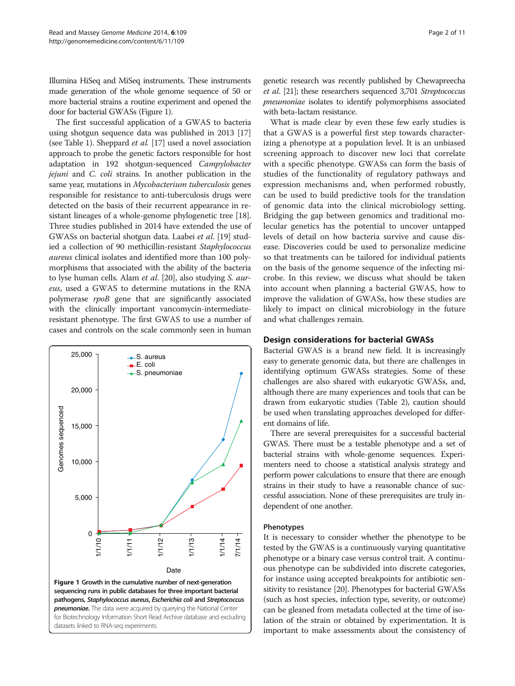Illumina HiSeq and MiSeq instruments. These instruments made generation of the whole genome sequence of 50 or more bacterial strains a routine experiment and opened the door for bacterial GWASs (Figure 1).

The first successful application of a GWAS to bacteria using shotgun sequence data was published in 2013 [[17](#page-8-0)] (see Table [1\)](#page-2-0). Sheppard *et al.* [\[17\]](#page-8-0) used a novel association approach to probe the genetic factors responsible for host adaptation in 192 shotgun-sequenced Campylobacter jejuni and C. coli strains. In another publication in the same year, mutations in Mycobacterium tuberculosis genes responsible for resistance to anti-tuberculosis drugs were detected on the basis of their recurrent appearance in resistant lineages of a whole-genome phylogenetic tree [[18](#page-8-0)]. Three studies published in 2014 have extended the use of GWASs on bacterial shotgun data. Laabei et al. [\[19\]](#page-9-0) studied a collection of 90 methicillin-resistant Staphylococcus aureus clinical isolates and identified more than 100 polymorphisms that associated with the ability of the bacteria to lyse human cells. Alam et al. [\[20\]](#page-9-0), also studying S. aureus, used a GWAS to determine mutations in the RNA polymerase rpoB gene that are significantly associated with the clinically important vancomycin-intermediateresistant phenotype. The first GWAS to use a number of cases and controls on the scale commonly seen in human



pneumoniae. The data were acquired by querying the National Center for Biotechnology Information Short Read Archive database and excluding datasets linked to RNA-seq experiments.

genetic research was recently published by Chewapreecha et al. [[21](#page-9-0)]; these researchers sequenced 3,701 Streptococcus pneumoniae isolates to identify polymorphisms associated with beta-lactam resistance.

What is made clear by even these few early studies is that a GWAS is a powerful first step towards characterizing a phenotype at a population level. It is an unbiased screening approach to discover new loci that correlate with a specific phenotype. GWASs can form the basis of studies of the functionality of regulatory pathways and expression mechanisms and, when performed robustly, can be used to build predictive tools for the translation of genomic data into the clinical microbiology setting. Bridging the gap between genomics and traditional molecular genetics has the potential to uncover untapped levels of detail on how bacteria survive and cause disease. Discoveries could be used to personalize medicine so that treatments can be tailored for individual patients on the basis of the genome sequence of the infecting microbe. In this review, we discuss what should be taken into account when planning a bacterial GWAS, how to improve the validation of GWASs, how these studies are likely to impact on clinical microbiology in the future and what challenges remain.

### Design considerations for bacterial GWASs

Bacterial GWAS is a brand new field. It is increasingly easy to generate genomic data, but there are challenges in identifying optimum GWASs strategies. Some of these challenges are also shared with eukaryotic GWASs, and, although there are many experiences and tools that can be drawn from eukaryotic studies (Table [2\)](#page-2-0), caution should be used when translating approaches developed for different domains of life.

There are several prerequisites for a successful bacterial GWAS. There must be a testable phenotype and a set of bacterial strains with whole-genome sequences. Experimenters need to choose a statistical analysis strategy and perform power calculations to ensure that there are enough strains in their study to have a reasonable chance of successful association. None of these prerequisites are truly independent of one another.

#### Phenotypes

It is necessary to consider whether the phenotype to be tested by the GWAS is a continuously varying quantitative phenotype or a binary case versus control trait. A continuous phenotype can be subdivided into discrete categories, for instance using accepted breakpoints for antibiotic sensitivity to resistance [\[20\]](#page-9-0). Phenotypes for bacterial GWASs (such as host species, infection type, severity, or outcome) can be gleaned from metadata collected at the time of isolation of the strain or obtained by experimentation. It is important to make assessments about the consistency of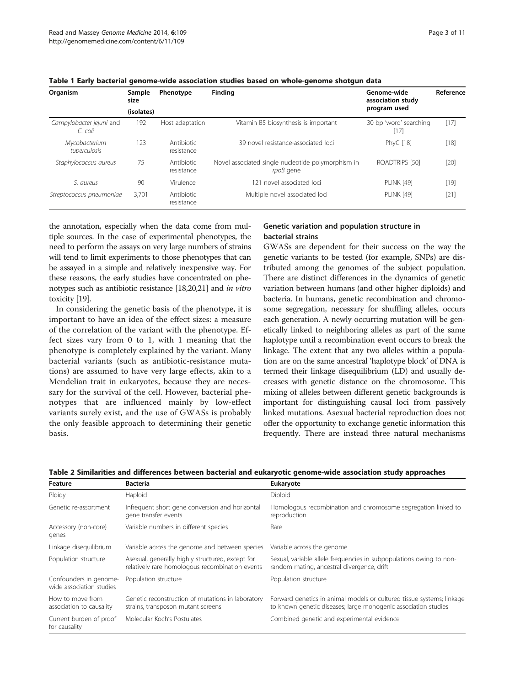| Organism                            | Sample<br>size | Phenotype                | <b>Finding</b>                                                  | Genome-wide<br>association study | Reference |
|-------------------------------------|----------------|--------------------------|-----------------------------------------------------------------|----------------------------------|-----------|
|                                     | (isolates)     |                          |                                                                 | program used                     |           |
| Campylobacter jejuni and<br>C. coli | 192            | Host adaptation          | Vitamin B5 biosynthesis is important                            | 30 bp 'word' searching<br>[17]   | $[17]$    |
| Mycobacterium<br>tuberculosis       | 123            | Antibiotic<br>resistance | 39 novel resistance-associated loci                             | PhyC [18]                        | $[18]$    |
| Staphylococcus aureus               | 75             | Antibiotic<br>resistance | Novel associated single nucleotide polymorphism in<br>rpoB gene | ROADTRIPS [50]                   | $[20]$    |
| S. aureus                           | 90             | Virulence                | novel associated loci<br>121                                    | PLINK [49]                       | $[19]$    |
| Streptococcus pneumoniae            | 3,701          | Antibiotic<br>resistance | Multiple novel associated loci                                  | PLINK [49]                       | $[21]$    |

<span id="page-2-0"></span>Table 1 Early bacterial genome-wide association studies based on whole-genome shotgun data

the annotation, especially when the data come from multiple sources. In the case of experimental phenotypes, the need to perform the assays on very large numbers of strains will tend to limit experiments to those phenotypes that can be assayed in a simple and relatively inexpensive way. For these reasons, the early studies have concentrated on phenotypes such as antibiotic resistance [\[18](#page-8-0)[,20,21](#page-9-0)] and in vitro toxicity [\[19](#page-9-0)].

In considering the genetic basis of the phenotype, it is important to have an idea of the effect sizes: a measure of the correlation of the variant with the phenotype. Effect sizes vary from 0 to 1, with 1 meaning that the phenotype is completely explained by the variant. Many bacterial variants (such as antibiotic-resistance mutations) are assumed to have very large effects, akin to a Mendelian trait in eukaryotes, because they are necessary for the survival of the cell. However, bacterial phenotypes that are influenced mainly by low-effect variants surely exist, and the use of GWASs is probably the only feasible approach to determining their genetic basis.

### Genetic variation and population structure in bacterial strains

GWASs are dependent for their success on the way the genetic variants to be tested (for example, SNPs) are distributed among the genomes of the subject population. There are distinct differences in the dynamics of genetic variation between humans (and other higher diploids) and bacteria. In humans, genetic recombination and chromosome segregation, necessary for shuffling alleles, occurs each generation. A newly occurring mutation will be genetically linked to neighboring alleles as part of the same haplotype until a recombination event occurs to break the linkage. The extent that any two alleles within a population are on the same ancestral 'haplotype block' of DNA is termed their linkage disequilibrium (LD) and usually decreases with genetic distance on the chromosome. This mixing of alleles between different genetic backgrounds is important for distinguishing causal loci from passively linked mutations. Asexual bacterial reproduction does not offer the opportunity to exchange genetic information this frequently. There are instead three natural mechanisms

| Feature                                            | <b>Bacteria</b>                                                                                     | Eukaryote                                                                                                                               |  |  |
|----------------------------------------------------|-----------------------------------------------------------------------------------------------------|-----------------------------------------------------------------------------------------------------------------------------------------|--|--|
| Ploidy                                             | Haploid                                                                                             | Diploid                                                                                                                                 |  |  |
| Genetic re-assortment                              | Infrequent short gene conversion and horizontal<br>gene transfer events                             | Homologous recombination and chromosome segregation linked to<br>reproduction                                                           |  |  |
| Accessory (non-core)<br>genes                      | Variable numbers in different species                                                               | Rare                                                                                                                                    |  |  |
| Linkage diseguilibrium                             | Variable across the genome and between species                                                      | Variable across the genome                                                                                                              |  |  |
| Population structure                               | Asexual, generally highly structured, except for<br>relatively rare homologous recombination events | Sexual, variable allele frequencies in subpopulations owing to non-<br>random mating, ancestral divergence, drift                       |  |  |
| Confounders in genome-<br>wide association studies | Population structure                                                                                | Population structure                                                                                                                    |  |  |
| How to move from<br>association to causality       | Genetic reconstruction of mutations in laboratory<br>strains, transposon mutant screens             | Forward genetics in animal models or cultured tissue systems; linkage<br>to known genetic diseases; large monogenic association studies |  |  |
| Current burden of proof<br>for causality           | Molecular Koch's Postulates                                                                         | Combined genetic and experimental evidence                                                                                              |  |  |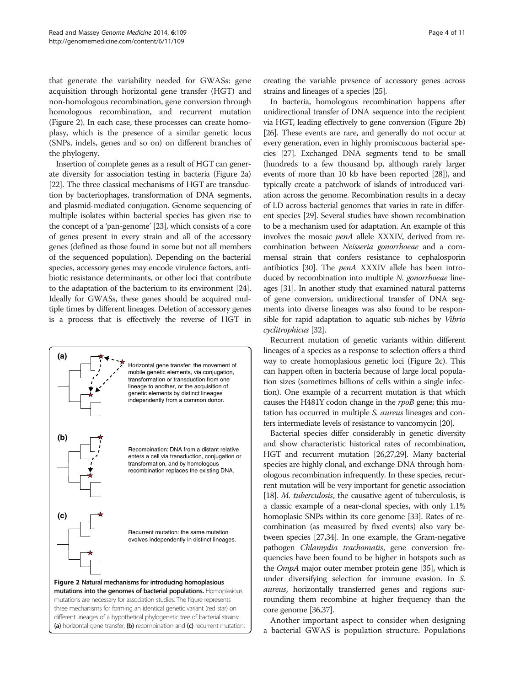that generate the variability needed for GWASs: gene acquisition through horizontal gene transfer (HGT) and non-homologous recombination, gene conversion through homologous recombination, and recurrent mutation (Figure 2). In each case, these processes can create homoplasy, which is the presence of a similar genetic locus (SNPs, indels, genes and so on) on different branches of the phylogeny.

Insertion of complete genes as a result of HGT can generate diversity for association testing in bacteria (Figure 2a) [[22](#page-9-0)]. The three classical mechanisms of HGT are transduction by bacteriophages, transformation of DNA segments, and plasmid-mediated conjugation. Genome sequencing of multiple isolates within bacterial species has given rise to the concept of a 'pan-genome' [\[23\]](#page-9-0), which consists of a core of genes present in every strain and all of the accessory genes (defined as those found in some but not all members of the sequenced population). Depending on the bacterial species, accessory genes may encode virulence factors, antibiotic resistance determinants, or other loci that contribute to the adaptation of the bacterium to its environment [\[24](#page-9-0)]. Ideally for GWASs, these genes should be acquired multiple times by different lineages. Deletion of accessory genes is a process that is effectively the reverse of HGT in



mutations are necessary for association studies. The figure represents three mechanisms for forming an identical genetic variant (red star) on different lineages of a hypothetical phylogenetic tree of bacterial strains: (a) horizontal gene transfer, (b) recombination and (c) recurrent mutation.

creating the variable presence of accessory genes across strains and lineages of a species [\[25\]](#page-9-0).

In bacteria, homologous recombination happens after unidirectional transfer of DNA sequence into the recipient via HGT, leading effectively to gene conversion (Figure 2b) [[26](#page-9-0)]. These events are rare, and generally do not occur at every generation, even in highly promiscuous bacterial species [\[27](#page-9-0)]. Exchanged DNA segments tend to be small (hundreds to a few thousand bp, although rarely larger events of more than 10 kb have been reported [[28](#page-9-0)]), and typically create a patchwork of islands of introduced variation across the genome. Recombination results in a decay of LD across bacterial genomes that varies in rate in different species [[29](#page-9-0)]. Several studies have shown recombination to be a mechanism used for adaptation. An example of this involves the mosaic penA allele XXXIV, derived from recombination between Neisseria gonorrhoeae and a commensal strain that confers resistance to cephalosporin antibiotics [[30\]](#page-9-0). The penA XXXIV allele has been introduced by recombination into multiple N. gonorrhoeae lineages [[31](#page-9-0)]. In another study that examined natural patterns of gene conversion, unidirectional transfer of DNA segments into diverse lineages was also found to be responsible for rapid adaptation to aquatic sub-niches by Vibrio cyclitrophicus [\[32](#page-9-0)].

Recurrent mutation of genetic variants within different lineages of a species as a response to selection offers a third way to create homoplasious genetic loci (Figure 2c). This can happen often in bacteria because of large local population sizes (sometimes billions of cells within a single infection). One example of a recurrent mutation is that which causes the H481Y codon change in the rpoB gene; this mutation has occurred in multiple S. aureus lineages and confers intermediate levels of resistance to vancomycin [\[20](#page-9-0)].

Bacterial species differ considerably in genetic diversity and show characteristic historical rates of recombination, HGT and recurrent mutation [\[26,27,29](#page-9-0)]. Many bacterial species are highly clonal, and exchange DNA through homologous recombination infrequently. In these species, recurrent mutation will be very important for genetic association [[18](#page-8-0)]. *M. tuberculosis*, the causative agent of tuberculosis, is a classic example of a near-clonal species, with only 1.1% homoplasic SNPs within its core genome [[33](#page-9-0)]. Rates of recombination (as measured by fixed events) also vary between species [\[27,34\]](#page-9-0). In one example, the Gram-negative pathogen *Chlamydia trachomatis*, gene conversion frequencies have been found to be higher in hotspots such as the OmpA major outer member protein gene [[35](#page-9-0)], which is under diversifying selection for immune evasion. In S. aureus, horizontally transferred genes and regions surrounding them recombine at higher frequency than the core genome [\[36,37\]](#page-9-0).

Another important aspect to consider when designing a bacterial GWAS is population structure. Populations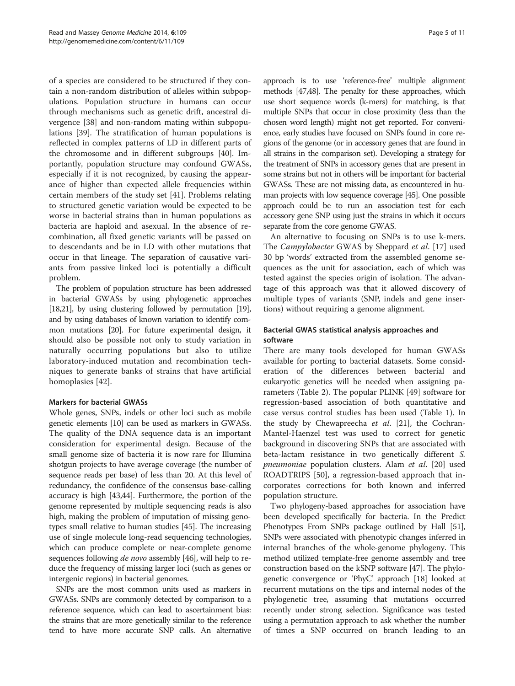of a species are considered to be structured if they contain a non-random distribution of alleles within subpopulations. Population structure in humans can occur through mechanisms such as genetic drift, ancestral divergence [\[38](#page-9-0)] and non-random mating within subpopulations [\[39\]](#page-9-0). The stratification of human populations is reflected in complex patterns of LD in different parts of the chromosome and in different subgroups [\[40](#page-9-0)]. Importantly, population structure may confound GWASs, especially if it is not recognized, by causing the appearance of higher than expected allele frequencies within certain members of the study set [[41](#page-9-0)]. Problems relating to structured genetic variation would be expected to be worse in bacterial strains than in human populations as bacteria are haploid and asexual. In the absence of recombination, all fixed genetic variants will be passed on to descendants and be in LD with other mutations that occur in that lineage. The separation of causative variants from passive linked loci is potentially a difficult problem.

The problem of population structure has been addressed in bacterial GWASs by using phylogenetic approaches [[18](#page-8-0)[,21](#page-9-0)], by using clustering followed by permutation [\[19\]](#page-9-0), and by using databases of known variation to identify common mutations [\[20\]](#page-9-0). For future experimental design, it should also be possible not only to study variation in naturally occurring populations but also to utilize laboratory-induced mutation and recombination techniques to generate banks of strains that have artificial homoplasies [[42](#page-9-0)].

## Markers for bacterial GWASs

Whole genes, SNPs, indels or other loci such as mobile genetic elements [\[10](#page-8-0)] can be used as markers in GWASs. The quality of the DNA sequence data is an important consideration for experimental design. Because of the small genome size of bacteria it is now rare for Illumina shotgun projects to have average coverage (the number of sequence reads per base) of less than 20. At this level of redundancy, the confidence of the consensus base-calling accuracy is high [\[43,44\]](#page-9-0). Furthermore, the portion of the genome represented by multiple sequencing reads is also high, making the problem of imputation of missing genotypes small relative to human studies [\[45\]](#page-9-0). The increasing use of single molecule long-read sequencing technologies, which can produce complete or near-complete genome sequences following de novo assembly [\[46\]](#page-9-0), will help to reduce the frequency of missing larger loci (such as genes or intergenic regions) in bacterial genomes.

SNPs are the most common units used as markers in GWASs. SNPs are commonly detected by comparison to a reference sequence, which can lead to ascertainment bias: the strains that are more genetically similar to the reference tend to have more accurate SNP calls. An alternative approach is to use 'reference-free' multiple alignment methods [\[47,48\]](#page-9-0). The penalty for these approaches, which use short sequence words (k-mers) for matching, is that multiple SNPs that occur in close proximity (less than the chosen word length) might not get reported. For convenience, early studies have focused on SNPs found in core regions of the genome (or in accessory genes that are found in all strains in the comparison set). Developing a strategy for the treatment of SNPs in accessory genes that are present in some strains but not in others will be important for bacterial GWASs. These are not missing data, as encountered in human projects with low sequence coverage [\[45\]](#page-9-0). One possible approach could be to run an association test for each accessory gene SNP using just the strains in which it occurs separate from the core genome GWAS.

An alternative to focusing on SNPs is to use k-mers. The Campylobacter GWAS by Sheppard et al. [[17](#page-8-0)] used 30 bp 'words' extracted from the assembled genome sequences as the unit for association, each of which was tested against the species origin of isolation. The advantage of this approach was that it allowed discovery of multiple types of variants (SNP, indels and gene insertions) without requiring a genome alignment.

## Bacterial GWAS statistical analysis approaches and software

There are many tools developed for human GWASs available for porting to bacterial datasets. Some consideration of the differences between bacterial and eukaryotic genetics will be needed when assigning parameters (Table [2\)](#page-2-0). The popular PLINK [[49](#page-9-0)] software for regression-based association of both quantitative and case versus control studies has been used (Table [1](#page-2-0)). In the study by Chewapreecha et al. [\[21](#page-9-0)], the Cochran-Mantel-Haenzel test was used to correct for genetic background in discovering SNPs that are associated with beta-lactam resistance in two genetically different S. pneumoniae population clusters. Alam et al. [\[20](#page-9-0)] used ROADTRIPS [[50\]](#page-9-0), a regression-based approach that incorporates corrections for both known and inferred population structure.

Two phylogeny-based approaches for association have been developed specifically for bacteria. In the Predict Phenotypes From SNPs package outlined by Hall [[51](#page-9-0)], SNPs were associated with phenotypic changes inferred in internal branches of the whole-genome phylogeny. This method utilized template-free genome assembly and tree construction based on the kSNP software [[47](#page-9-0)]. The phylogenetic convergence or 'PhyC' approach [[18](#page-8-0)] looked at recurrent mutations on the tips and internal nodes of the phylogenetic tree, assuming that mutations occurred recently under strong selection. Significance was tested using a permutation approach to ask whether the number of times a SNP occurred on branch leading to an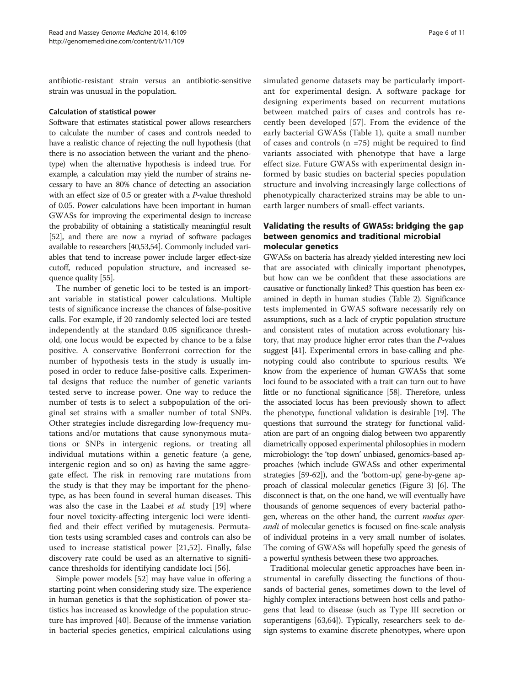antibiotic-resistant strain versus an antibiotic-sensitive strain was unusual in the population.

#### Calculation of statistical power

Software that estimates statistical power allows researchers to calculate the number of cases and controls needed to have a realistic chance of rejecting the null hypothesis (that there is no association between the variant and the phenotype) when the alternative hypothesis is indeed true. For example, a calculation may yield the number of strains necessary to have an 80% chance of detecting an association with an effect size of 0.5 or greater with a P-value threshold of 0.05. Power calculations have been important in human GWASs for improving the experimental design to increase the probability of obtaining a statistically meaningful result [[52\]](#page-9-0), and there are now a myriad of software packages available to researchers [\[40,53,54](#page-9-0)]. Commonly included variables that tend to increase power include larger effect-size cutoff, reduced population structure, and increased sequence quality [\[55\]](#page-9-0).

The number of genetic loci to be tested is an important variable in statistical power calculations. Multiple tests of significance increase the chances of false-positive calls. For example, if 20 randomly selected loci are tested independently at the standard 0.05 significance threshold, one locus would be expected by chance to be a false positive. A conservative Bonferroni correction for the number of hypothesis tests in the study is usually imposed in order to reduce false-positive calls. Experimental designs that reduce the number of genetic variants tested serve to increase power. One way to reduce the number of tests is to select a subpopulation of the original set strains with a smaller number of total SNPs. Other strategies include disregarding low-frequency mutations and/or mutations that cause synonymous mutations or SNPs in intergenic regions, or treating all individual mutations within a genetic feature (a gene, intergenic region and so on) as having the same aggregate effect. The risk in removing rare mutations from the study is that they may be important for the phenotype, as has been found in several human diseases. This was also the case in the Laabei *et al.* study [[19\]](#page-9-0) where four novel toxicity-affecting intergenic loci were identified and their effect verified by mutagenesis. Permutation tests using scrambled cases and controls can also be used to increase statistical power [[21,52\]](#page-9-0). Finally, false discovery rate could be used as an alternative to significance thresholds for identifying candidate loci [[56](#page-9-0)].

Simple power models [[52](#page-9-0)] may have value in offering a starting point when considering study size. The experience in human genetics is that the sophistication of power statistics has increased as knowledge of the population structure has improved [[40](#page-9-0)]. Because of the immense variation in bacterial species genetics, empirical calculations using

simulated genome datasets may be particularly important for experimental design. A software package for designing experiments based on recurrent mutations between matched pairs of cases and controls has recently been developed [[57\]](#page-9-0). From the evidence of the early bacterial GWASs (Table [1\)](#page-2-0), quite a small number of cases and controls (n =75) might be required to find variants associated with phenotype that have a large effect size. Future GWASs with experimental design informed by basic studies on bacterial species population structure and involving increasingly large collections of phenotypically characterized strains may be able to unearth larger numbers of small-effect variants.

## Validating the results of GWASs: bridging the gap between genomics and traditional microbial molecular genetics

GWASs on bacteria has already yielded interesting new loci that are associated with clinically important phenotypes, but how can we be confident that these associations are causative or functionally linked? This question has been examined in depth in human studies (Table [2\)](#page-2-0). Significance tests implemented in GWAS software necessarily rely on assumptions, such as a lack of cryptic population structure and consistent rates of mutation across evolutionary history, that may produce higher error rates than the P-values suggest [\[41\]](#page-9-0). Experimental errors in base-calling and phenotyping could also contribute to spurious results. We know from the experience of human GWASs that some loci found to be associated with a trait can turn out to have little or no functional significance [\[58\]](#page-9-0). Therefore, unless the associated locus has been previously shown to affect the phenotype, functional validation is desirable [\[19\]](#page-9-0). The questions that surround the strategy for functional validation are part of an ongoing dialog between two apparently diametrically opposed experimental philosophies in modern microbiology: the 'top down' unbiased, genomics-based approaches (which include GWASs and other experimental strategies [\[59](#page-9-0)[-62\]](#page-10-0)), and the 'bottom-up', gene-by-gene approach of classical molecular genetics (Figure [3\)](#page-6-0) [\[6\]](#page-8-0). The disconnect is that, on the one hand, we will eventually have thousands of genome sequences of every bacterial pathogen, whereas on the other hand, the current *modus operandi* of molecular genetics is focused on fine-scale analysis of individual proteins in a very small number of isolates. The coming of GWASs will hopefully speed the genesis of a powerful synthesis between these two approaches.

Traditional molecular genetic approaches have been instrumental in carefully dissecting the functions of thousands of bacterial genes, sometimes down to the level of highly complex interactions between host cells and pathogens that lead to disease (such as Type III secretion or superantigens [\[63,64](#page-10-0)]). Typically, researchers seek to design systems to examine discrete phenotypes, where upon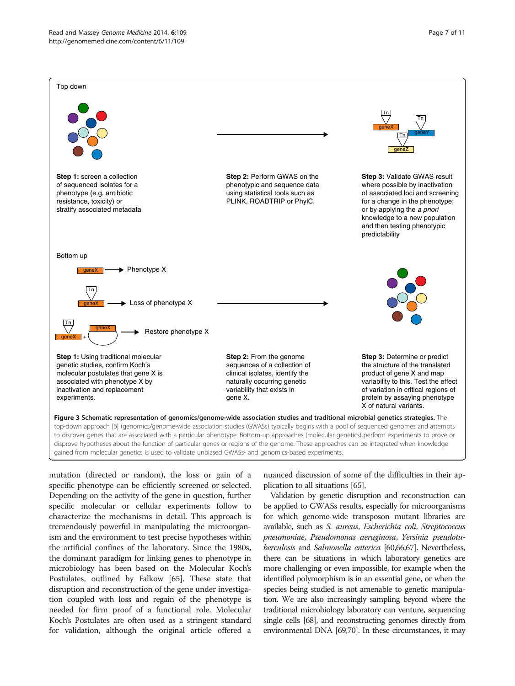<span id="page-6-0"></span>

mutation (directed or random), the loss or gain of a specific phenotype can be efficiently screened or selected. Depending on the activity of the gene in question, further specific molecular or cellular experiments follow to characterize the mechanisms in detail. This approach is tremendously powerful in manipulating the microorganism and the environment to test precise hypotheses within the artificial confines of the laboratory. Since the 1980s, the dominant paradigm for linking genes to phenotype in microbiology has been based on the Molecular Koch's Postulates, outlined by Falkow [\[65](#page-10-0)]. These state that disruption and reconstruction of the gene under investigation coupled with loss and regain of the phenotype is needed for firm proof of a functional role. Molecular Koch's Postulates are often used as a stringent standard for validation, although the original article offered a

nuanced discussion of some of the difficulties in their application to all situations [[65](#page-10-0)].

Validation by genetic disruption and reconstruction can be applied to GWASs results, especially for microorganisms for which genome-wide transposon mutant libraries are available, such as S. aureus, Escherichia coli, Streptococcus pneumoniae, Pseudomonas aeruginosa, Yersinia pseudotuberculosis and Salmonella enterica [\[60](#page-9-0)[,66,67\]](#page-10-0). Nevertheless, there can be situations in which laboratory genetics are more challenging or even impossible, for example when the identified polymorphism is in an essential gene, or when the species being studied is not amenable to genetic manipulation. We are also increasingly sampling beyond where the traditional microbiology laboratory can venture, sequencing single cells [[68\]](#page-10-0), and reconstructing genomes directly from environmental DNA [\[69,70](#page-10-0)]. In these circumstances, it may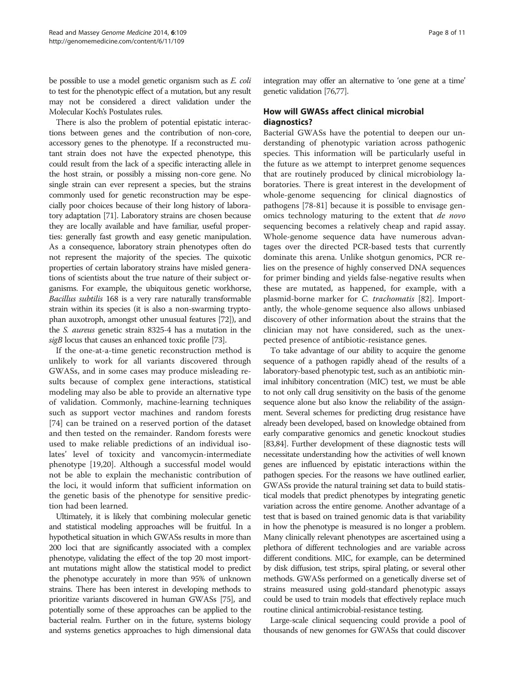be possible to use a model genetic organism such as E. coli to test for the phenotypic effect of a mutation, but any result may not be considered a direct validation under the Molecular Koch's Postulates rules.

There is also the problem of potential epistatic interactions between genes and the contribution of non-core, accessory genes to the phenotype. If a reconstructed mutant strain does not have the expected phenotype, this could result from the lack of a specific interacting allele in the host strain, or possibly a missing non-core gene. No single strain can ever represent a species, but the strains commonly used for genetic reconstruction may be especially poor choices because of their long history of laboratory adaptation [[71](#page-10-0)]. Laboratory strains are chosen because they are locally available and have familiar, useful properties: generally fast growth and easy genetic manipulation. As a consequence, laboratory strain phenotypes often do not represent the majority of the species. The quixotic properties of certain laboratory strains have misled generations of scientists about the true nature of their subject organisms. For example, the ubiquitous genetic workhorse, Bacillus subtilis 168 is a very rare naturally transformable strain within its species (it is also a non-swarming tryptophan auxotroph, amongst other unusual features [\[72\]](#page-10-0)), and the S. aureus genetic strain 8325-4 has a mutation in the sigB locus that causes an enhanced toxic profile [[73](#page-10-0)].

If the one-at-a-time genetic reconstruction method is unlikely to work for all variants discovered through GWASs, and in some cases may produce misleading results because of complex gene interactions, statistical modeling may also be able to provide an alternative type of validation. Commonly, machine-learning techniques such as support vector machines and random forests [[74\]](#page-10-0) can be trained on a reserved portion of the dataset and then tested on the remainder. Random forests were used to make reliable predictions of an individual isolates' level of toxicity and vancomycin-intermediate phenotype [[19,20\]](#page-9-0). Although a successful model would not be able to explain the mechanistic contribution of the loci, it would inform that sufficient information on the genetic basis of the phenotype for sensitive prediction had been learned.

Ultimately, it is likely that combining molecular genetic and statistical modeling approaches will be fruitful. In a hypothetical situation in which GWASs results in more than 200 loci that are significantly associated with a complex phenotype, validating the effect of the top 20 most important mutations might allow the statistical model to predict the phenotype accurately in more than 95% of unknown strains. There has been interest in developing methods to prioritize variants discovered in human GWASs [[75\]](#page-10-0), and potentially some of these approaches can be applied to the bacterial realm. Further on in the future, systems biology and systems genetics approaches to high dimensional data integration may offer an alternative to 'one gene at a time' genetic validation [\[76,77](#page-10-0)].

## How will GWASs affect clinical microbial diagnostics?

Bacterial GWASs have the potential to deepen our understanding of phenotypic variation across pathogenic species. This information will be particularly useful in the future as we attempt to interpret genome sequences that are routinely produced by clinical microbiology laboratories. There is great interest in the development of whole-genome sequencing for clinical diagnostics of pathogens [[78](#page-10-0)-[81\]](#page-10-0) because it is possible to envisage genomics technology maturing to the extent that de novo sequencing becomes a relatively cheap and rapid assay. Whole-genome sequence data have numerous advantages over the directed PCR-based tests that currently dominate this arena. Unlike shotgun genomics, PCR relies on the presence of highly conserved DNA sequences for primer binding and yields false-negative results when these are mutated, as happened, for example, with a plasmid-borne marker for C. trachomatis [\[82\]](#page-10-0). Importantly, the whole-genome sequence also allows unbiased discovery of other information about the strains that the clinician may not have considered, such as the unexpected presence of antibiotic-resistance genes.

To take advantage of our ability to acquire the genome sequence of a pathogen rapidly ahead of the results of a laboratory-based phenotypic test, such as an antibiotic minimal inhibitory concentration (MIC) test, we must be able to not only call drug sensitivity on the basis of the genome sequence alone but also know the reliability of the assignment. Several schemes for predicting drug resistance have already been developed, based on knowledge obtained from early comparative genomics and genetic knockout studies [[83,84\]](#page-10-0). Further development of these diagnostic tests will necessitate understanding how the activities of well known genes are influenced by epistatic interactions within the pathogen species. For the reasons we have outlined earlier, GWASs provide the natural training set data to build statistical models that predict phenotypes by integrating genetic variation across the entire genome. Another advantage of a test that is based on trained genomic data is that variability in how the phenotype is measured is no longer a problem. Many clinically relevant phenotypes are ascertained using a plethora of different technologies and are variable across different conditions. MIC, for example, can be determined by disk diffusion, test strips, spiral plating, or several other methods. GWASs performed on a genetically diverse set of strains measured using gold-standard phenotypic assays could be used to train models that effectively replace much routine clinical antimicrobial-resistance testing.

Large-scale clinical sequencing could provide a pool of thousands of new genomes for GWASs that could discover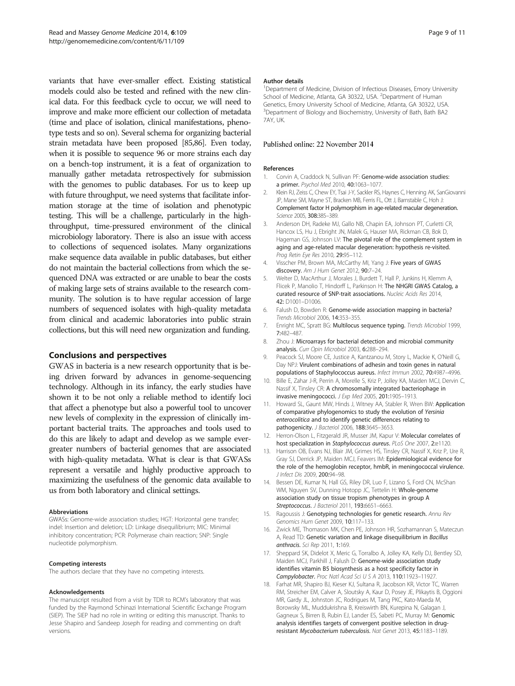<span id="page-8-0"></span>variants that have ever-smaller effect. Existing statistical models could also be tested and refined with the new clinical data. For this feedback cycle to occur, we will need to improve and make more efficient our collection of metadata (time and place of isolation, clinical manifestations, phenotype tests and so on). Several schema for organizing bacterial strain metadata have been proposed [\[85,86\]](#page-10-0). Even today, when it is possible to sequence 96 or more strains each day on a bench-top instrument, it is a feat of organization to manually gather metadata retrospectively for submission with the genomes to public databases. For us to keep up with future throughput, we need systems that facilitate information storage at the time of isolation and phenotypic testing. This will be a challenge, particularly in the highthroughput, time-pressured environment of the clinical microbiology laboratory. There is also an issue with access to collections of sequenced isolates. Many organizations make sequence data available in public databases, but either do not maintain the bacterial collections from which the sequenced DNA was extracted or are unable to bear the costs of making large sets of strains available to the research community. The solution is to have regular accession of large numbers of sequenced isolates with high-quality metadata from clinical and academic laboratories into public strain collections, but this will need new organization and funding.

## Conclusions and perspectives

GWAS in bacteria is a new research opportunity that is being driven forward by advances in genome-sequencing technology. Although in its infancy, the early studies have shown it to be not only a reliable method to identify loci that affect a phenotype but also a powerful tool to uncover new levels of complexity in the expression of clinically important bacterial traits. The approaches and tools used to do this are likely to adapt and develop as we sample evergreater numbers of bacterial genomes that are associated with high-quality metadata. What is clear is that GWASs represent a versatile and highly productive approach to maximizing the usefulness of the genomic data available to us from both laboratory and clinical settings.

#### Abbreviations

GWASs: Genome-wide association studies; HGT: Horizontal gene transfer; indel: Insertion and deletion; LD: Linkage disequilibrium; MIC: Minimal inhibitory concentration; PCR: Polymerase chain reaction; SNP: Single nucleotide polymorphism.

#### Competing interests

The authors declare that they have no competing interests.

#### Acknowledgements

The manuscript resulted from a visit by TDR to RCM's laboratory that was funded by the Raymond Schinazi International Scientific Exchange Program (SIEP). The SIEP had no role in writing or editing this manuscript. Thanks to Jesse Shapiro and Sandeep Joseph for reading and commenting on draft versions.

#### Author details

<sup>1</sup>Department of Medicine, Division of Infectious Diseases, Emory University School of Medicine, Atlanta, GA 30322, USA. <sup>2</sup>Department of Human Genetics, Emory University School of Medicine, Atlanta, GA 30322, USA. <sup>3</sup>Department of Biology and Biochemistry, University of Bath, Bath BA2 7AY, UK.

#### Published online: 22 November 2014

#### References

- 1. Corvin A, Craddock N, Sullivan PF: Genome-wide association studies: a primer. Psychol Med 2010, 40:1063–1077.
- 2. Klein RJ, Zeiss C, Chew EY, Tsai J-Y, Sackler RS, Haynes C, Henning AK, SanGiovanni JP, Mane SM, Mayne ST, Bracken MB, Ferris FL, Ott J, Barnstable C, Hoh J: Complement factor H polymorphism in age-related macular degeneration. Science 2005, **308:**385–389.
- 3. Anderson DH, Radeke MJ, Gallo NB, Chapin EA, Johnson PT, Curletti CR, Hancox LS, Hu J, Ebright JN, Malek G, Hauser MA, Rickman CB, Bok D, Hageman GS, Johnson LV: The pivotal role of the complement system in aging and age-related macular degeneration: hypothesis re-visited. Prog Retin Eye Res 2010, 29:95–112.
- 4. Visscher PM, Brown MA, McCarthy MI, Yang J: Five years of GWAS discovery. Am J Hum Genet 2012, 90:7-24.
- 5. Welter D, MacArthur J, Morales J, Burdett T, Hall P, Junkins H, Klemm A, Flicek P, Manolio T, Hindorff L, Parkinson H: The NHGRI GWAS Catalog, a curated resource of SNP-trait associations. Nucleic Acids Res 2014, 42: D1001–D1006.
- 6. Falush D, Bowden R: Genome-wide association mapping in bacteria? Trends Microbiol 2006, 14:353–355.
- 7. Enright MC, Spratt BG: Multilocus sequence typing. Trends Microbiol 1999, 7:482–487.
- 8. Zhou J: Microarrays for bacterial detection and microbial community analysis. Curr Opin Microbiol 2003, 6:288–294.
- 9. Peacock SJ, Moore CE, Justice A, Kantzanou M, Story L, Mackie K, O'Neill G, Day NPJ: Virulent combinations of adhesin and toxin genes in natural populations of Staphylococcus aureus. Infect Immun 2002, 70:4987–4996.
- 10. Bille E, Zahar J-R, Perrin A, Morelle S, Kriz P, Jolley KA, Maiden MCJ, Dervin C, Nassif X, Tinsley CR: A chromosomally integrated bacteriophage in invasive meningococci. J Exp Med 2005, 201:1905–1913.
- 11. Howard SL, Gaunt MW, Hinds J, Witney AA, Stabler R, Wren BW: Application of comparative phylogenomics to study the evolution of Yersinia enterocolitica and to identify genetic differences relating to pathogenicity. J Bacteriol 2006, 188:3645-3653.
- 12. Herron-Olson L, Fitzgerald JR, Musser JM, Kapur V: Molecular correlates of host specialization in Staphylococcus aureus. PLoS One 2007, 2:e1120.
- 13. Harrison OB, Evans NJ, Blair JM, Grimes HS, Tinsley CR, Nassif X, Kriz P, Ure R, Gray SJ, Derrick JP, Maiden MCJ, Feavers IM: Epidemiological evidence for the role of the hemoglobin receptor, hmbR, in meningococcal virulence. J Infect Dis 2009, 200:94–98.
- 14. Bessen DE, Kumar N, Hall GS, Riley DR, Luo F, Lizano S, Ford CN, McShan WM, Nguyen SV, Dunning Hotopp JC, Tettelin H: Whole-genome association study on tissue tropism phenotypes in group A Streptococcus. J Bacteriol 2011, 193:6651–6663.
- 15. Ragoussis J: Genotyping technologies for genetic research. Annu Rev Genomics Hum Genet 2009, 10:117–133.
- 16. Zwick ME, Thomason MK, Chen PE, Johnson HR, Sozhamannan S, Mateczun A, Read TD: Genetic variation and linkage disequilibrium in Bacillus anthracis. Sci Rep 2011, 1:169.
- 17. Sheppard SK, Didelot X, Meric G, Torralbo A, Jolley KA, Kelly DJ, Bentley SD, Maiden MCJ, Parkhill J, Falush D: Genome-wide association study identifies vitamin B5 biosynthesis as a host specificity factor in Campylobacter. Proc Natl Acad Sci U S A 2013, 110:11923–11927.
- 18. Farhat MR, Shapiro BJ, Kieser KJ, Sultana R, Jacobson KR, Victor TC, Warren RM, Streicher EM, Calver A, Sloutsky A, Kaur D, Posey JE, Plikaytis B, Oggioni MR, Gardy JL, Johnston JC, Rodrigues M, Tang PKC, Kato-Maeda M, Borowsky ML, Muddukrishna B, Kreiswirth BN, Kurepina N, Galagan J, Gagneux S, Birren B, Rubin EJ, Lander ES, Sabeti PC, Murray M: Genomic analysis identifies targets of convergent positive selection in drugresistant Mycobacterium tuberculosis. Nat Genet 2013, 45:1183–1189.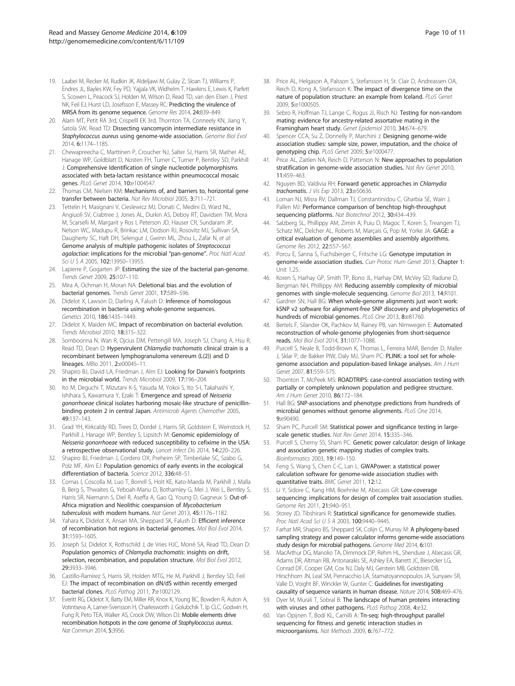- <span id="page-9-0"></span>19. Laabei M, Recker M, Rudkin JK, Aldeljawi M, Gulay Z, Sloan TJ, Williams P, Endres JL, Bayles KW, Fey PD, Yajjala VK, Widhelm T, Hawkins E, Lewis K, Parfett S, Scowen L, Peacock SJ, Holden M, Wilson D, Read TD, van den Elsen J, Priest NK, Feil EJ, Hurst LD, Josefsson E, Massey RC: Predicting the virulence of MRSA from its genome sequence. Genome Res 2014, 24:839–849.
- 20. Alam MT, Petit RA 3rd, Crispelll EK 3rd, Thornton TA, Conneely KN, Jiang Y, Satola SW, Read TD: Dissecting vancomycin intermediate resistance in Staphylococcus aureus using genome-wide association. Genome Biol Evol 2014, 6:1174–1185.
- 21. Chewapreecha C, Marttinen P, Croucher NJ, Salter SJ, Harris SR, Mather AE, Hanage WP, Goldblatt D, Nosten FH, Turner C, Turner P, Bentley SD, Parkhill J: Comprehensive Identification of single nucleotide polymorphisms associated with beta-lactam resistance within pneumococcal mosaic genes. PLoS Genet 2014, 10:e1004547.
- 22. Thomas CM, Nielsen KM: Mechanisms of, and barriers to, horizontal gene transfer between bacteria. Nat Rev Microbiol 2005, 3:711–721.
- 23. Tettelin H, Masignani V, Cieslewicz MJ, Donati C, Medini D, Ward NL, Angiuoli SV, Crabtree J, Jones AL, Durkin AS, Deboy RT, Davidsen TM, Mora M, Scarselli M, Margarit y Ros I, Peterson JD, Hauser CR, Sundaram JP, Nelson WC, Madupu R, Brinkac LM, Dodson RJ, Rosovitz MJ, Sullivan SA, Daugherty SC, Haft DH, Selengut J, Gwinn ML, Zhou L, Zafar N, et al: Genome analysis of multiple pathogenic isolates of Streptococcus agalactiae: implications for the microbial "pan-genome". Proc Natl Acad Sci U S A 2005, 102:13950–13955.
- 24. Lapierre P, Gogarten JP: Estimating the size of the bacterial pan-genome. Trends Genet 2009, 25:107–110.
- 25. Mira A, Ochman H, Moran NA: Deletional bias and the evolution of bacterial genomes. Trends Genet 2001, 17:589–596.
- 26. Didelot X, Lawson D, Darling A, Falush D: Inference of homologous recombination in bacteria using whole-genome sequences. Genetics 2010, 186:1435–1449.
- 27. Didelot X, Maiden MC: Impact of recombination on bacterial evolution. Trends Microbiol 2010, 18:315–322.
- 28. Somboonna N, Wan R, Ojcius DM, Pettengill MA, Joseph SJ, Chang A, Hsu R, Read TD, Dean D: Hypervirulent Chlamydia trachomatis clinical strain is a recombinant between lymphogranuloma venereum (L(2)) and D lineages. MBio 2011, 2:e00045–11.
- 29. Shapiro BJ, David LA, Friedman J, Alm EJ: Looking for Darwin's footprints in the microbial world. Trends Microbiol 2009, 17:196–204.
- 30. Ito M, Deguchi T, Mizutani K-S, Yasuda M, Yokoi S, Ito S-I, Takahashi Y, Ishihara S, Kawamura Y, Ezaki T: Emergence and spread of Neisseria gonorrhoeae clinical isolates harboring mosaic-like structure of penicillinbinding protein 2 in central Japan. Antimicrob Agents Chemother 2005, 49:137–143.
- 31. Grad YH, Kirkcaldy RD, Trees D, Dordel J, Harris SR, Goldstein E, Weinstock H, Parkhill J, Hanage WP, Bentley S, Lipsitch M: Genomic epidemiology of Neisseria gonorrhoeae with reduced susceptibility to cefixime in the USA: a retrospective observational study. Lancet Infect Dis 2014, 14:220–226.
- 32. Shapiro BJ, Friedman J, Cordero OX, Preheim SP, Timberlake SC, Szabo G, Polz MF, Alm EJ: Population genomics of early events in the ecological differentiation of bacteria. Science 2012, 336:48–51.
- 33. Comas I, Coscolla M, Luo T, Borrell S, Holt KE, Kato-Maeda M, Parkhill J, Malla B, Berg S, Thwaites G, Yeboah-Manu D, Bothamley G, Mei J, Wei L, Bentley S, Harris SR, Niemann S, Diel R, Aseffa A, Gao Q, Young D, Gagneux S: Out-of-Africa migration and Neolithic coexpansion of Mycobacterium tuberculosis with modern humans. Nat Genet 2013, 45:1176–1182.
- 34. Yahara K, Didelot X, Ansari MA, Sheppard SK, Falush D: Efficient inference of recombination hot regions in bacterial genomes. Mol Biol Evol 2014, 31:1593–1605.
- 35. Joseph SJ, Didelot X, Rothschild J, de Vries HJC, Morré SA, Read TD, Dean D: Population genomics of Chlamydia trachomatis: insights on drift, selection, recombination, and population structure. Mol Biol Evol 2012, 29:3933–3946.
- 36. Castillo-Ramírez S, Harris SR, Holden MTG, He M, Parkhill J, Bentley SD, Feil EJ: The impact of recombination on dN/dS within recently emerged bacterial clones. PLoS Pathog 2011, 7:e1002129.
- 37. Everitt RG, Didelot X, Batty EM, Miller RR, Knox K, Young BC, Bowden R, Auton A, Votintseva A, Larner-Svensson H, Charlesworth J, Golubchik T, Ip CLC, Godwin H, Fung R, Peto TEA, Walker AS, Crook DW, Wilson DJ: Mobile elements drive recombination hotspots in the core genome of Staphylococcus aureus. Nat Commun 2014, 5:3956.
- 38. Price AL, Helgason A, Palsson S, Stefansson H, St. Clair D, Andreassen OA, Reich D, Kong A, Stefansson K: The impact of divergence time on the nature of population structure: an example from Iceland. PLoS Genet 2009, 5:e1000505.
- 39. Sebro R, Hoffman TJ, Lange C, Rogus JJ, Risch NJ: Testing for non-random mating: evidence for ancestry-related assortative mating in the Framingham heart study. Genet Epidemiol 2010, 34:674–679.
- 40. Spencer CCA, Su Z, Donnelly P, Marchini J: Designing genome-wide association studies: sample size, power, imputation, and the choice of genotyping chip. PLoS Genet 2009, 5:e1000477.
- 41. Price AL, Zaitlen NA, Reich D, Patterson N: New approaches to population stratification in genome-wide association studies. Nat Rev Genet 2010, 11:459–463.
- 42. Nguyen BD, Valdivia RH: Forward genetic approaches in Chlamydia trachomatis. J Vis Exp 2013, 23:e50636.
- 43. Loman NJ, Misra RV, Dallman TJ, Constantinidou C, Gharbia SE, Wain J, Pallen MJ: Performance comparison of benchtop high-throughput sequencing platforms. Nat Biotechnol 2012, 30:434–439.
- 44. Salzberg SL, Phillippy AM, Zimin A, Puiu D, Magoc T, Koren S, Treangen TJ, Schatz MC, Delcher AL, Roberts M, Marçais G, Pop M, Yorke JA: GAGE: a critical evaluation of genome assemblies and assembly algorithms. Genome Res 2012, 22:557–567.
- 45. Porcu E, Sanna S, Fuchsberger C, Fritsche LG: Genotype imputation in genome-wide association studies. Curr Protoc Hum Genet 2013, Chapter 1: Unit 1.25.
- 46. Koren S, Harhay GP, Smith TP, Bono JL, Harhay DM, McVey SD, Radune D, Bergman NH, Phillippy AM: Reducing assembly complexity of microbial genomes with single-molecule sequencing. Genome Biol 2013, 14:R101.
- Gardner SN, Hall BG: When whole-genome alignments just won't work: kSNP v2 software for alignment-free SNP discovery and phylogenetics of hundreds of microbial genomes. PLoS One 2013, 8:e81760.
- 48. Bertels F, Silander OK, Pachkov M, Rainey PB, van Nimwegen E: Automated reconstruction of whole-genome phylogenies from short-sequence reads. Mol Biol Evol 2014, 31:1077–1088.
- 49. Purcell S, Neale B, Todd-Brown K, Thomas L, Ferreira MAR, Bender D, Maller J, Sklar P, de Bakker PIW, Daly MJ, Sham PC: PLINK: a tool set for wholegenome association and population-based linkage analyses. Am J Hum Genet 2007, 81:559–575.
- 50. Thornton T, McPeek MS: ROADTRIPS: case-control association testing with partially or completely unknown population and pedigree structure. Am J Hum Genet 2010, 86:172–184.
- 51. Hall BG: SNP-associations and phenotype predictions from hundreds of microbial genomes without genome alignments. PLoS One 2014, 9:e90490.
- 52. Sham PC, Purcell SM: Statistical power and significance testing in largescale genetic studies. Nat Rev Genet 2014, 15:335-346.
- 53. Purcell S, Cherny SS, Sham PC: Genetic power calculator: design of linkage and association genetic mapping studies of complex traits. Bioinformatics 2003, 19:149–150.
- 54. Feng S, Wang S, Chen C-C, Lan L: GWAPower: a statistical power calculation software for genome-wide association studies with quantitative traits. BMC Genet 2011, 12:12.
- 55. Li Y, Sidore C, Kang HM, Boehnke M, Abecasis GR: Low-coverage sequencing: implications for design of complex trait association studies. Genome Res 2011, 21:940–951.
- 56. Storey JD, Tibshirani R: Statistical significance for genomewide studies. Proc Natl Acad Sci U S A 2003, 100:9440–9445.
- 57. Farhat MR, Shapiro BS, Sheppard SK, Colijn C, Murray M: A phylogeny-based sampling strategy and power calculator informs genome-wide associations study design for microbial pathogens. Genome Med 2014, 6:101.
- 58. MacArthur DG, Manolio TA, Dimmock DP, Rehm HL, Shendure J, Abecasis GR, Adams DR, Altman RB, Antonarakis SE, Ashley EA, Barrett JC, Biesecker LG, Conrad DF, Cooper GM, Cox NJ, Daly MJ, Gerstein MB, Goldstein DB, Hirschhorn JN, Leal SM, Pennacchio LA, Stamatoyannopoulos JA, Sunyaev SR, Valle D, Voight BF, Winckler W, Gunter C: Guidelines for investigating causality of sequence variants in human disease. Nature 2014, 508:469–476.
- 59. Dyer M, Murali T, Sobral B: The landscape of human proteins interacting with viruses and other pathogens. PLoS Pathog 2008, 4:e32.
- 60. Van Opijnen T, Bodi KL, Camilli A: Tn-seq: high-throughput parallel sequencing for fitness and genetic interaction studies in microorganisms. Nat Methods 2009, 6:767–772.